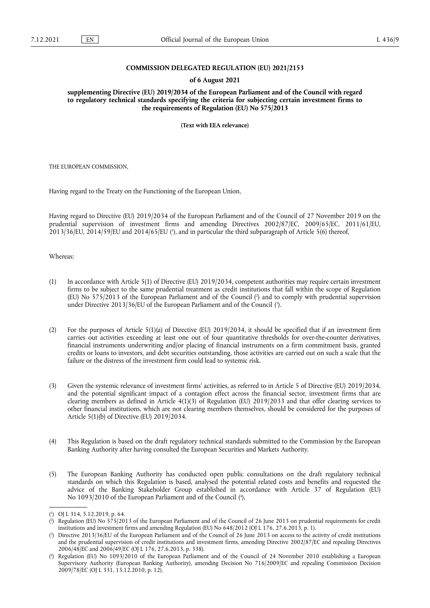## **COMMISSION DELEGATED REGULATION (EU) 2021/2153**

#### **of 6 August 2021**

**supplementing Directive (EU) 2019/2034 of the European Parliament and of the Council with regard to regulatory technical standards specifying the criteria for subjecting certain investment firms to the requirements of Regulation (EU) No 575/2013** 

**(Text with EEA relevance)** 

THE EUROPEAN COMMISSION,

Having regard to the Treaty on the Functioning of the European Union,

<span id="page-0-4"></span>Having regard to Directive (EU) 2019/2034 of the European Parliament and of the Council of 27 November 2019 on the prudential supervision of investment firms and amending Directives 2002/87/EC, 2009/65/EC, 2011/61/EU, 2013/36/EU, 2014/59/EU and 2014/65/EU (<sup>1</sup>[\),](#page-0-0) and in particular the third subparagraph of Article 5(6) thereof,

## Whereas:

- <span id="page-0-6"></span><span id="page-0-5"></span>(1) In accordance with Article 5(1) of Directive (EU) 2019/2034, competent authorities may require certain investment firms to be subject to the same prudential treatment as credit institutions that fall within the scope of Regulation (EU) No 575/2013 of the European Parliament and of the Council [\(](#page-0-1) 2 ) and to comply with prudential supervision under Directive 2013/36/EU of the European Parliament and of the Council ( 3 [\).](#page-0-2)
- (2) For the purposes of Article 5(1)(a) of Directive (EU) 2019/2034, it should be specified that if an investment firm carries out activities exceeding at least one out of four quantitative thresholds for over-the-counter derivatives, financial instruments underwriting and/or placing of financial instruments on a firm commitment basis, granted credits or loans to investors, and debt securities outstanding, those activities are carried out on such a scale that the failure or the distress of the investment firm could lead to systemic risk.
- (3) Given the systemic relevance of investment firms' activities, as referred to in Article 5 of Directive (EU) 2019/2034, and the potential significant impact of a contagion effect across the financial sector, investment firms that are clearing members as defined in Article 4(1)(3) of Regulation (EU) 2019/2033 and that offer clearing services to other financial institutions, which are not clearing members themselves, should be considered for the purposes of Article 5(1)(b) of Directive (EU) 2019/2034.
- (4) This Regulation is based on the draft regulatory technical standards submitted to the Commission by the European Banking Authority after having consulted the European Securities and Markets Authority.
- (5) The European Banking Authority has conducted open public consultations on the draft regulatory technical standards on which this Regulation is based, analysed the potential related costs and benefits and requested the advice of the Banking Stakeholder Group established in accordance with Article 37 of Regulation (EU) No 1093/2010 of the European Parliament and of the Council ( 4 [\),](#page-0-3)

<span id="page-0-7"></span><span id="page-0-0"></span>[<sup>\(</sup>](#page-0-4) 1 ) OJ L 314, 5.12.2019, p. 64.

<span id="page-0-1"></span>[<sup>\(</sup>](#page-0-5) 2 ) Regulation (EU) No 575/2013 of the European Parliament and of the Council of 26 June 2013 on prudential requirements for credit institutions and investment firms and amending Regulation (EU) No 648/2012 (OJ L 176, 27.6.2013, p. 1).

<span id="page-0-2"></span>[<sup>\(</sup>](#page-0-6) 3 ) Directive 2013/36/EU of the European Parliament and of the Council of 26 June 2013 on access to the activity of credit institutions and the prudential supervision of credit institutions and investment firms, amending Directive 2002/87/EC and repealing Directives 2006/48/EC and 2006/49/EC (OJ L 176, 27.6.2013, p. 338).

<span id="page-0-3"></span>[<sup>\(</sup>](#page-0-7) 4 ) Regulation (EU) No 1093/2010 of the European Parliament and of the Council of 24 November 2010 establishing a European Supervisory Authority (European Banking Authority), amending Decision No 716/2009/EC and repealing Commission Decision 2009/78/EC (OJ L 331, 15.12.2010, p. 12).